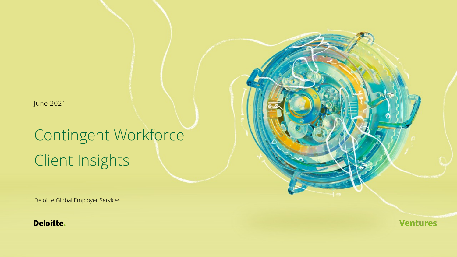June 2021

# Contingent Workforce Client Insights

Deloitte Global Employer Services

**Deloitte.** 

**Ventures**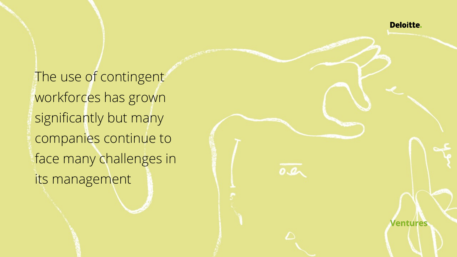**Deloitte.** 

**Ventures** 

 $0Q$ 

The use of contingent workforces has grown significantly but many companies continue to face many challenges in its management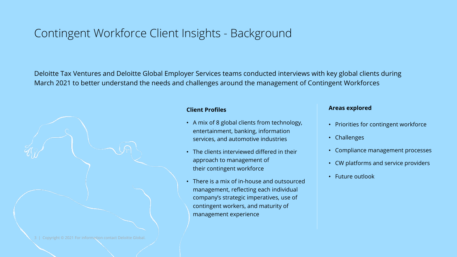## Contingent Workforce Client Insights - Background

Deloitte Tax Ventures and Deloitte Global Employer Services teams conducted interviews with key global clients during March 2021 to better understand the needs and challenges around the management of Contingent Workforces



### **Client Profiles**

- A mix of 8 global clients from technology, entertainment, banking, information services, and automotive industries
- The clients interviewed differed in their approach to management of their contingent workforce
- There is a mix of in-house and outsourced management, reflecting each individual company's strategic imperatives, use of contingent workers, and maturity of management experience

### **Areas explored**

- Priorities for contingent workforce
- Challenges
- Compliance management processes
- CW platforms and service providers
- Future outlook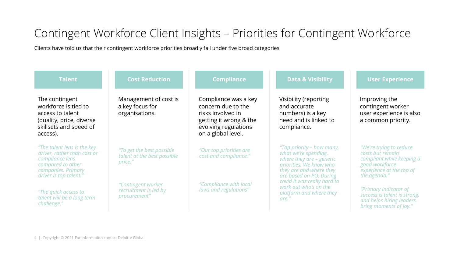## Contingent Workforce Client Insights – Priorities for Contingent Workforce

Clients have told us that their contingent workforce priorities broadly fall under five broad categories

| <b>Talent</b>                                                                                                                                       | <b>Cost Reduction</b>                                                                                                              | <b>Compliance</b>                                                                                                                       | <b>Data &amp; Visibility</b>                                                                                                                                                                                                                               | <b>User Experience</b>                                                                                                                  |
|-----------------------------------------------------------------------------------------------------------------------------------------------------|------------------------------------------------------------------------------------------------------------------------------------|-----------------------------------------------------------------------------------------------------------------------------------------|------------------------------------------------------------------------------------------------------------------------------------------------------------------------------------------------------------------------------------------------------------|-----------------------------------------------------------------------------------------------------------------------------------------|
| The contingent<br>workforce is tied to<br>access to talent<br>(quality, price, diverse<br>skillsets and speed of<br>access).                        | Management of cost is<br>a key focus for<br>organisations.                                                                         | Compliance was a key<br>concern due to the<br>risks involved in<br>getting it wrong & the<br>evolving regulations<br>on a global level. | Visibility (reporting<br>and accurate<br>numbers) is a key<br>need and is linked to<br>compliance.                                                                                                                                                         | Improving the<br>contingent worker<br>user experience is also<br>a common priority.                                                     |
| "The talent lens is the key"<br>driver, rather than cost or<br>compliance lens<br>compared to other<br>companies. Primary<br>driver is top talent." | "To get the best possible<br>talent at the best possible<br>price."<br>"Contingent worker<br>recruitment is led by<br>procurement" | "Our top priorities are<br>cost and compliance."                                                                                        | "Top priority - how many,<br>what we're spending,<br>where they are - generic<br>priorities. We know who<br>they are and where they<br>are based on PO. During<br>covid it was really hard to<br>work out who's on the<br>platform and where they<br>are." | "We're trying to reduce"<br>costs but remain<br>compliant while keeping a<br>good workforce<br>experience at the top of<br>the agenda." |
| "The quick access to<br>talent will be a long term<br>challenge."                                                                                   |                                                                                                                                    | "Compliance with local<br>laws and regulations"                                                                                         |                                                                                                                                                                                                                                                            | "Primary indicator of<br>success is talent is strong,<br>and helps hiring leaders<br>bring moments of joy."                             |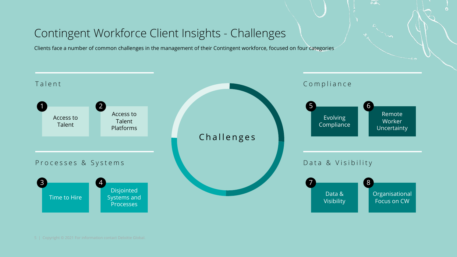## Contingent Workforce Client Insights - Challenges

Clients face a number of common challenges in the management of their Contingent workforce, focused on four categories



 $\overline{\circ a}$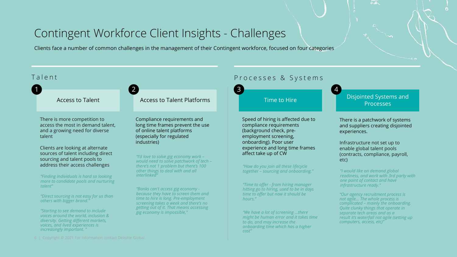## Contingent Workforce Client Insights - Challenges

Clients face a number of common challenges in the management of their Contingent workforce, focused on four categories

There is more competition to access the most in demand talent, and a growing need for diverse talent

Clients are looking at alternate sources of talent including direct sourcing and talent pools to address their access challenges

*"Finding individuals is hard so looking more to candidate pools and nurturing talent"*

*"Direct sourcing is not easy for us than others with bigger brand."*

*"Starting to see demand to include voices around the world, inclusion & diversity. Getting different markets, voices, and lived experiences is increasingly important. "*

Access to Talent Access to Talent Platforms Time to Hire Disjointed Systems and

Compliance requirements and long time frames prevent the use of online talent platforms (especially for regulated industries)

*"I'd love to solve gig economy work – would need to solve patchwork of tech – there's not 1 problem but there's 100 other things to deal with and all interlinked"*

*"Banks can't access gig economy because they have to screen them and time to hire is long. Pre-employment screening takes a week and there's no getting out of it. That means accessing gig economy is impossible,"*

## Talent Talent Communication Communication Communication Communication Communication Communication Communication Communication Communication Communication Communication Communication Communication Communication Communicatio

1 decreases to  $\sim$  2 decreases to  $\sim$  3 decreases to  $\sim$  4 decreases to  $\sim$ 

Speed of hiring is affected due to compliance requirements (background check, preemployment screening, onboarding). Poor user experience and long time frames affect take up of CW

*"How do you join all these lifecycle together – sourcing and onboarding."*

*"Time to offer - from hiring manager hitting go to hiring, used to be in days time to offer but now it should be hours."*

*"We have a lot of screening …there might be human error and it takes time to do, and may increase the onboarding time which has a higher cost"*

Processes

 $0.2$ 

There is a patchwork of systems and suppliers creating disjointed experiences.

Infrastructure not set up to enable global talent pools (contracts, compliance, payroll, etc)

*"I would like on demand global readiness, and work with 3rd party with one point of contact and have infrastructure ready."*

*"Our agency recruitment process is not agile… The whole process is complicated – mainly the onboarding. Quite clunky things that operate in separate tech areas and as a result it's waterfall not agile (setting up computers, access, etc)"*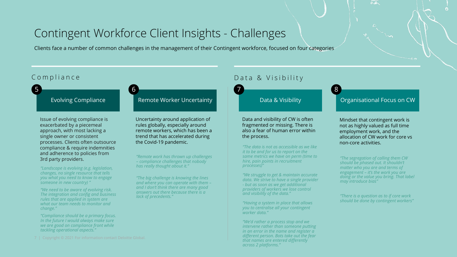## Contingent Workforce Client Insights - Challenges

Clients face a number of common challenges in the management of their Contingent workforce, focused on four categories

Issue of evolving compliance is exacerbated by a piecemeal approach, with most lacking a single owner or consistent processes. Clients often outsource compliance & require indemnities and adherence to policies from 3rd party providers.

*"Landscape is evolving (e.g. legislation, changes, no single resource that tells you what you need to know to engage someone in new country) "*

*and visibility of the data." "We need to be aware of evolving risk. The integration and config and business rules that are applied in system are what our team needs to monitor and change."*

*"Compliance should be a primary focus. In the future I would always make sure we are good on compliance front while tackling operational aspects."*

### Evolving Compliance Remote Worker Uncertainty **Remote Access 20 Figure 2016** Organisational Focus on CW

Uncertainty around application of rules globally, especially around remote workers, which has been a trend that has accelerated during the Covid-19 pandemic.

*"Remote work has thrown up challenges – compliance challenges that nobody has really thought about it."*

*"The big challenge is knowing the lines and where you can operate with them – and I don't think there are many good answers out there because there is a lack of precedents."*

## Compliance Data & Visibility



Data and visibility of CW is often fragmented or missing. There is also a fear of human error within the process.

*"The data is not as accessible as we like it to be and for us to report on the same metrics we have on perm (time to hire, pain points in recruitment processes)"*

*"We struggle to get & maintain accurate data. We strive to have a single provider - but as soon as we get additional providers of workers we lose control* 

*"Having a system in place that allows you to centralise all your contingent worker data."*

*"We'd rather a process stop and we intervene rather than someone putting in an error in the name and register a different person. Bots take out the fear that names are entered differently across 2 platforms."*

 $0.2$ 

Mindset that contingent work is not as highly valued as full time employment work, and the allocation of CW work for core vs non-core activities.

*"The segregation of calling them CW should be phased out. It shouldn't matter who you are and terms of engagement – it's the work you are doing or the value you bring. That label may introduce bias"*

*"There is a question as to if core work should be done by contingent workers"*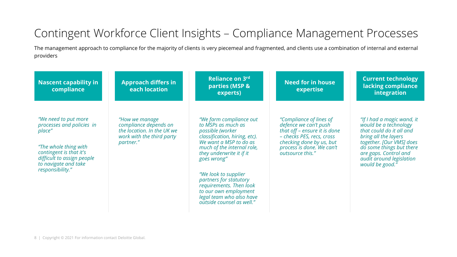## Contingent Workforce Client Insights – Compliance Management Processes

The management approach to compliance for the majority of clients is very piecemeal and fragmented, and clients use a combination of internal and external providers

| <b>Nascent capability in</b><br>compliance                                                                                                                                                | <b>Approach differs in</b><br>each location                                                                     | Reliance on 3rd<br>parties (MSP &<br>experts)                                                                                                                                                                                                                                                                                                                               | <b>Need for in house</b><br>expertise                                                                                                                                                      | <b>Current technology</b><br>lacking compliance<br>integration                                                                                                                                                                          |
|-------------------------------------------------------------------------------------------------------------------------------------------------------------------------------------------|-----------------------------------------------------------------------------------------------------------------|-----------------------------------------------------------------------------------------------------------------------------------------------------------------------------------------------------------------------------------------------------------------------------------------------------------------------------------------------------------------------------|--------------------------------------------------------------------------------------------------------------------------------------------------------------------------------------------|-----------------------------------------------------------------------------------------------------------------------------------------------------------------------------------------------------------------------------------------|
| "We need to put more<br>processes and policies in<br>place"<br>"The whole thing with<br>contingent is that it's<br>difficult to assign people<br>to navigate and take<br>responsibility." | "How we manage<br>compliance depends on<br>the location. In the UK we<br>work with the third party<br>partner." | "We farm compliance out<br>to MSPs as much as<br>possible (worker<br>classification, hiring, etc).<br>We want a MSP to do as<br>much of the internal role,<br>they underwrite it if it<br>goes wrong"<br>"We look to supplier<br>partners for statutory<br>requirements. Then look<br>to our own employment<br>legal team who also have<br><i>outside counsel as well."</i> | "Compliance of lines of<br>defence we can't push<br>that off - ensure it is done<br>- checks PES, recs, cross<br>checking done by us, but<br>process is done. We can't<br>outsource this." | "If I had a magic wand, it<br>would be a technology<br>that could do it all and<br>bring all the layers<br>together. [Our VMS] does<br>do some things but there<br>are gaps. Control and<br>audit around legislation<br>would be good." |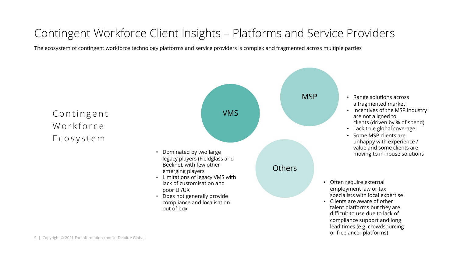## Contingent Workforce Client Insights – Platforms and Service Providers

The ecosystem of contingent workforce technology platforms and service providers is complex and fragmented across multiple parties

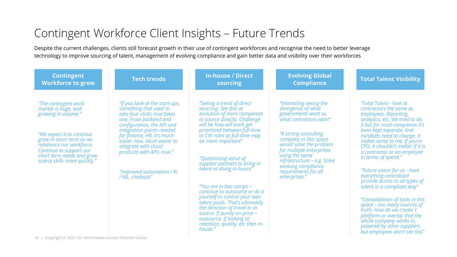## Contingent Workforce Client Insights – Future Trends

Despite the current challenges, clients still forecast growth in their use of contingent workforces and recognise the need to better leverage technology to improve sourcing of talent, management of evolving compliance and gain better data and visibility over their workforces

| <b>Contingent</b><br><b>Workforce to grow</b>                                                                                                                                                                                                   | <b>Tech trends</b>                                                                                                                                                                                                                                                                                                                         | <b>In-house / Direct</b><br>sourcing                                                                                                                                                                                                                                                                                                                                                                                                                                                                                                                                                                        | <b>Evolving Global</b><br><b>Compliance</b>                                                                                                                                                                                                                                                                              | <b>Total Talent Visibility</b>                                                                                                                                                                                                                                                                                                                                                                                                                                                                                                                                                                                                                                                          |
|-------------------------------------------------------------------------------------------------------------------------------------------------------------------------------------------------------------------------------------------------|--------------------------------------------------------------------------------------------------------------------------------------------------------------------------------------------------------------------------------------------------------------------------------------------------------------------------------------------|-------------------------------------------------------------------------------------------------------------------------------------------------------------------------------------------------------------------------------------------------------------------------------------------------------------------------------------------------------------------------------------------------------------------------------------------------------------------------------------------------------------------------------------------------------------------------------------------------------------|--------------------------------------------------------------------------------------------------------------------------------------------------------------------------------------------------------------------------------------------------------------------------------------------------------------------------|-----------------------------------------------------------------------------------------------------------------------------------------------------------------------------------------------------------------------------------------------------------------------------------------------------------------------------------------------------------------------------------------------------------------------------------------------------------------------------------------------------------------------------------------------------------------------------------------------------------------------------------------------------------------------------------------|
| "The contingent work<br>market is huge, and<br>growing in volume."<br>"We expect it to continue<br>grow in short term as we<br>rebalance our workforce.<br>Continue to support our<br>short term needs and grow<br>scarce skills more quickly." | "If you look at the start-ups,<br>something that used to<br>take four clicks now takes<br>one. From backend and<br>configuration, the API and<br>integration points needed<br>for finance, HR, it's much<br>easier now. Much easier to<br>integrate with cloud<br>products with APIs now."<br>"Improved automation / AI<br>/ ML, chatbots" | "Seeing a trend of direct<br>sourcing. See this as<br>evolution of more companies<br>to source directly. Challenge<br>will be how will work get<br>prioritised between full-time<br>vs CW roles as full-time may<br>be more important"<br>"Questioning value of<br>supplier partners to bring in<br>talent vs doing in-house"<br>"You are in two camps -<br>continue to outsource or do it<br>yourself to control your own<br>talent pools. That's ultimately<br>the direction of travel to in<br>source. If purely on price $-$<br>outsource. If looking at<br>retention, quality, etc then in-<br>house." | "Interesting seeing the<br>divergence of what<br>governments want vs.<br>what contractors want"<br>"A strong consulting<br>company in this space<br>would solve the problem<br>for multiple enterprises<br>using the same<br>infrastructure – e.g. Solve<br>evolving compliance<br>requirements for all<br>enterprises." | "Total Talent - look at<br>contractors the same as<br>employees. Reporting,<br>analytics, etc. We tried to do<br>it but for most companies it's<br>been kept separate. And<br>mindsets need to change. It<br>makes sense to me. If you're<br>CFO, it shouldn't matter if it is<br>a contractor or an employee<br>in terms of spend."<br>"Future vision for us - have<br>everything centralised<br>provide access to all types of<br>talent in a compliant way"<br>"Consolidation of tools in this<br>space – too many sources of<br>truth. How do we create 1<br>platform or overlay that the<br>whole company works in,<br>powered by other suppliers<br>but employees don't see this" |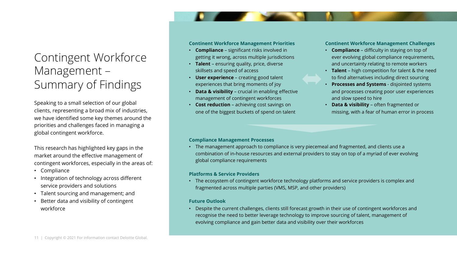## Contingent Workforce Management – Summary of Findings

Speaking to a small selection of our global clients, representing a broad mix of industries, we have identified some key themes around the priorities and challenges faced in managing a global contingent workforce.

This research has highlighted key gaps in the market around the effective management of contingent workforces, especially in the areas of:

- Compliance
- Integration of technology across different service providers and solutions
- Talent sourcing and management; and
- Better data and visibility of contingent workforce

### **Continent Workforce Management Priorities**

- **Compliance** significant risks involved in getting it wrong, across multiple jurisdictions
- **Talent**  ensuring quality, price, diverse skillsets and speed of access
- **User experience**  creating good talent experiences that bring moments of joy
- **Data & visibility**  crucial in enabling effective management of contingent workforces
- **Cost reduction**  achieving cost savings on one of the biggest buckets of spend on talent

### **Continent Workforce Management Challenges**

- **Compliance**  difficulty in staying on top of ever evolving global compliance requirements, and uncertainty relating to remote workers
- **Talent** high competition for talent & the need to find alternatives including direct sourcing
- **Processes and Systems**  disjointed systems and processes creating poor user experiences and slow speed to hire
- **Data & visibility**  often fragmented or missing, with a fear of human error in process

### **Compliance Management Processes**

• The management approach to compliance is very piecemeal and fragmented, and clients use a combination of in-house resources and external providers to stay on top of a myriad of ever evolving global compliance requirements

### **Platforms & Service Providers**

• The ecosystem of contingent workforce technology platforms and service providers is complex and fragmented across multiple parties (VMS, MSP, and other providers)

### **Future Outlook**

• Despite the current challenges, clients still forecast growth in their use of contingent workforces and recognise the need to better leverage technology to improve sourcing of talent, management of evolving compliance and gain better data and visibility over their workforces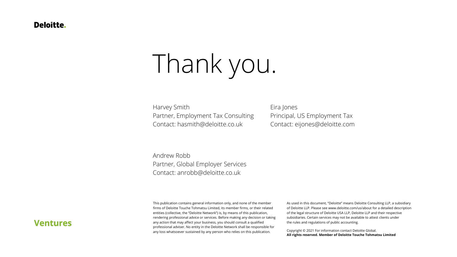### Deloitte.

# Thank you.

Harvey Smith Partner, Employment Tax Consulting Contact: hasmith@deloitte.co.uk

Eira Jones Principal, US Employment Tax Contact: eijones@deloitte.com

Andrew Robb Partner, Global Employer Services Contact: anrobb@deloitte.co.uk

This publication contains general information only, and none of the member firms of Deloitte Touche Tohmatsu Limited, its member firms, or their related entities (collective, the "Deloitte Network") is, by means of this publication, rendering professional advice or services. Before making any decision or taking any action that may affect your business, you should consult a qualified professional adviser. No entity in the Deloitte Network shall be responsible for any loss whatsoever sustained by any person who relies on this publication.

As used in this document, "Deloitte" means Deloitte Consulting LLP, a subsidiary of Deloitte LLP. Please see www.deloitte.com/us/about for a detailed description of the legal structure of Deloitte USA LLP, Deloitte LLP and their respective subsidiaries. Certain services may not be available to attest clients under the rules and regulations of public accounting.

Copyright © 2021 For information contact Deloitte Global. **All rights reserved. Member of Deloitte Touche Tohmatsu Limited**

## **Ventures**